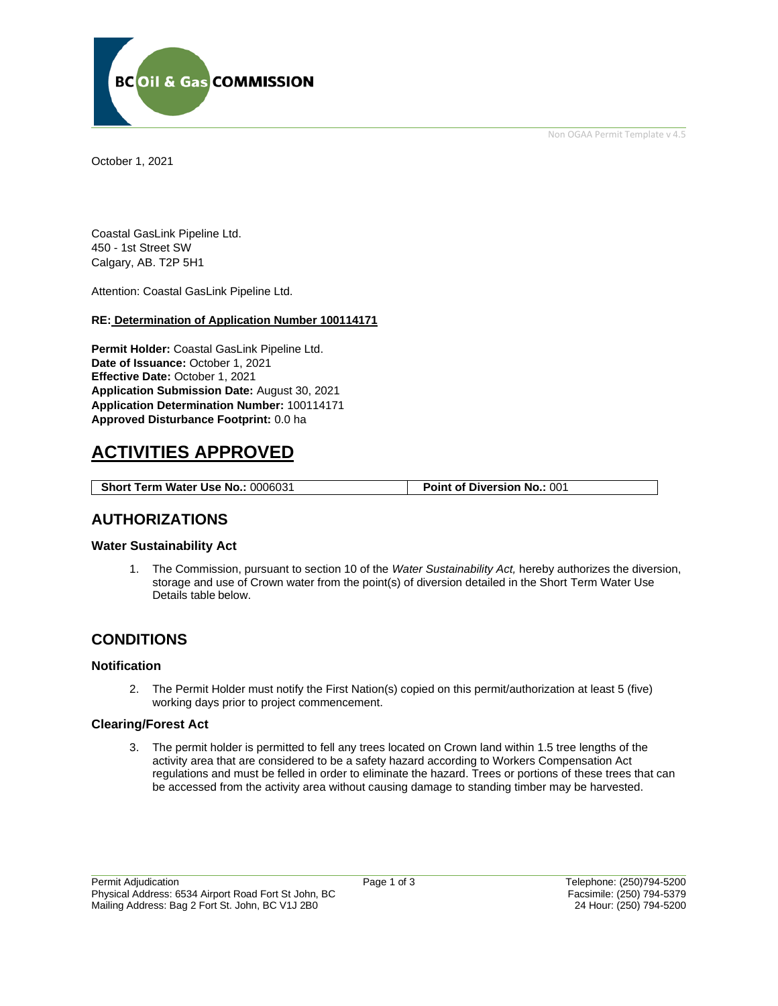

Non OGAA Permit Template v 4.5

October 1, 2021

Coastal GasLink Pipeline Ltd. 450 - 1st Street SW Calgary, AB. T2P 5H1

Attention: Coastal GasLink Pipeline Ltd.

#### **RE: Determination of Application Number 100114171**

**Permit Holder:** Coastal GasLink Pipeline Ltd. **Date of Issuance:** October 1, 2021 **Effective Date:** October 1, 2021 **Application Submission Date:** August 30, 2021 **Application Determination Number:** 100114171 **Approved Disturbance Footprint:** 0.0 ha

# **ACTIVITIES APPROVED**

**Short Term Water Use No.:** 0006031 **Point of Diversion No.:** 001

### **AUTHORIZATIONS**

### **Water Sustainability Act**

1. The Commission, pursuant to section 10 of the *Water Sustainability Act,* hereby authorizes the diversion, storage and use of Crown water from the point(s) of diversion detailed in the Short Term Water Use Details table below.

## **CONDITIONS**

### **Notification**

2. The Permit Holder must notify the First Nation(s) copied on this permit/authorization at least 5 (five) working days prior to project commencement.

### **Clearing/Forest Act**

3. The permit holder is permitted to fell any trees located on Crown land within 1.5 tree lengths of the activity area that are considered to be a safety hazard according to Workers Compensation Act regulations and must be felled in order to eliminate the hazard. Trees or portions of these trees that can be accessed from the activity area without causing damage to standing timber may be harvested.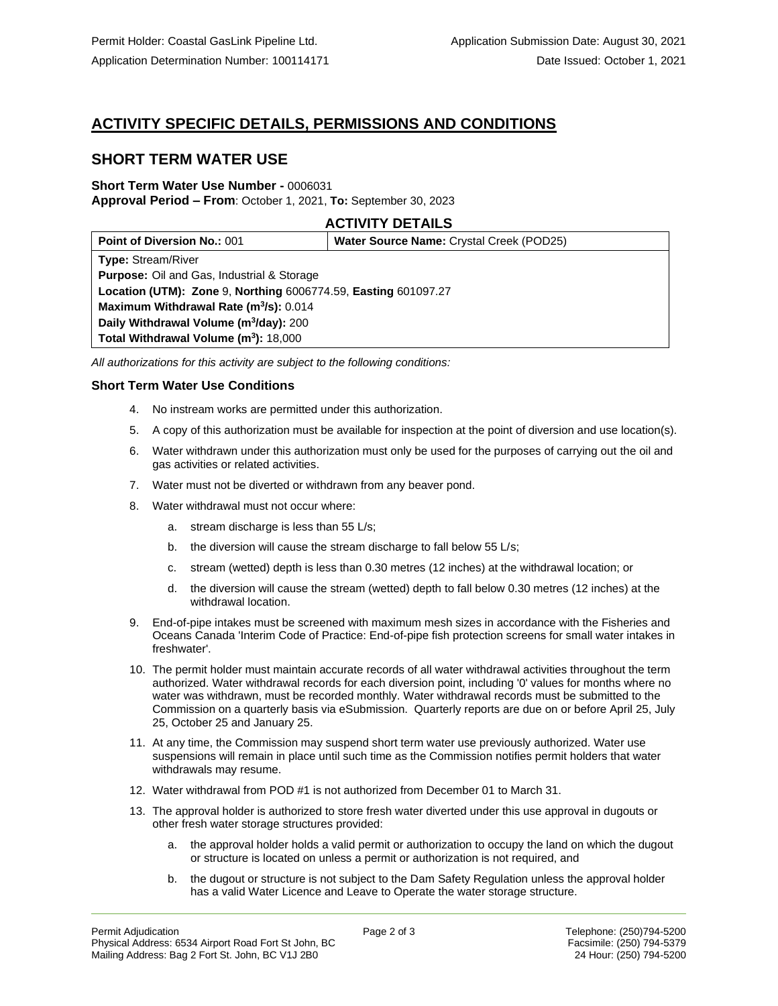# **ACTIVITY SPECIFIC DETAILS, PERMISSIONS AND CONDITIONS**

## **SHORT TERM WATER USE**

#### **Short Term Water Use Number -** 0006031 **Approval Period – From**: October 1, 2021, **To:** September 30, 2023

### **ACTIVITY DETAILS**

| <b>Point of Diversion No.: 001</b>                             | <b>Water Source Name: Crystal Creek (POD25)</b> |
|----------------------------------------------------------------|-------------------------------------------------|
| <b>Type: Stream/River</b>                                      |                                                 |
| <b>Purpose:</b> Oil and Gas, Industrial & Storage              |                                                 |
| Location (UTM): Zone 9, Northing 6006774.59, Easting 601097.27 |                                                 |
| Maximum Withdrawal Rate (m <sup>3</sup> /s): 0.014             |                                                 |
| Daily Withdrawal Volume (m <sup>3</sup> /day): 200             |                                                 |
| Total Withdrawal Volume (m <sup>3</sup> ): 18,000              |                                                 |

*All authorizations for this activity are subject to the following conditions:*

### **Short Term Water Use Conditions**

- 4. No instream works are permitted under this authorization.
- 5. A copy of this authorization must be available for inspection at the point of diversion and use location(s).
- 6. Water withdrawn under this authorization must only be used for the purposes of carrying out the oil and gas activities or related activities.
- 7. Water must not be diverted or withdrawn from any beaver pond.
- 8. Water withdrawal must not occur where:
	- a. stream discharge is less than 55 L/s;
	- b. the diversion will cause the stream discharge to fall below 55 L/s;
	- c. stream (wetted) depth is less than 0.30 metres (12 inches) at the withdrawal location; or
	- d. the diversion will cause the stream (wetted) depth to fall below 0.30 metres (12 inches) at the withdrawal location.
- 9. End-of-pipe intakes must be screened with maximum mesh sizes in accordance with the Fisheries and Oceans Canada 'Interim Code of Practice: End-of-pipe fish protection screens for small water intakes in freshwater'.
- 10. The permit holder must maintain accurate records of all water withdrawal activities throughout the term authorized. Water withdrawal records for each diversion point, including '0' values for months where no water was withdrawn, must be recorded monthly. Water withdrawal records must be submitted to the Commission on a quarterly basis via eSubmission. Quarterly reports are due on or before April 25, July 25, October 25 and January 25.
- 11. At any time, the Commission may suspend short term water use previously authorized. Water use suspensions will remain in place until such time as the Commission notifies permit holders that water withdrawals may resume.
- 12. Water withdrawal from POD #1 is not authorized from December 01 to March 31.
- 13. The approval holder is authorized to store fresh water diverted under this use approval in dugouts or other fresh water storage structures provided:
	- a. the approval holder holds a valid permit or authorization to occupy the land on which the dugout or structure is located on unless a permit or authorization is not required, and
	- b. the dugout or structure is not subject to the Dam Safety Regulation unless the approval holder has a valid Water Licence and Leave to Operate the water storage structure.